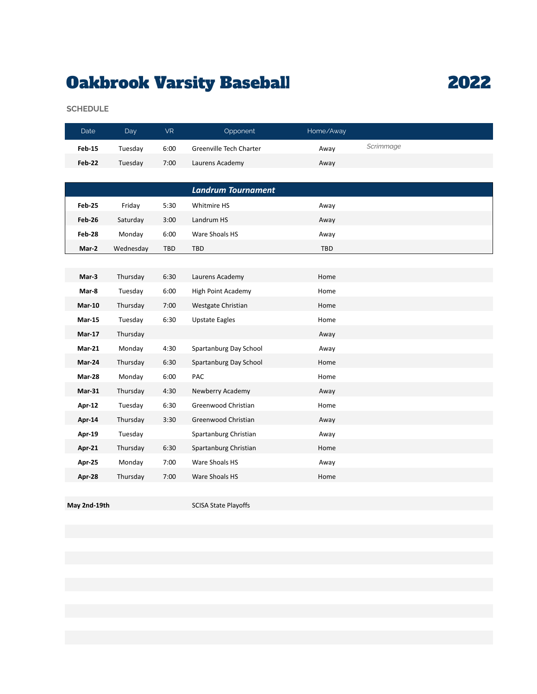# Oakbrook Varsity Baseball 2022



#### **SCHEDULE**

| Date <sup>1</sup> | Day     | VR   | Opponent                | Home/Away |           |
|-------------------|---------|------|-------------------------|-----------|-----------|
| <b>Feb-15</b>     | Tuesdav | 6:00 | Greenville Tech Charter | Away      | Scrimmage |
| Feb-22            | Tuesdav | 7:00 | Laurens Academy         | Away      |           |

|               |           |      | <b>Landrum Tournament</b> |      |  |
|---------------|-----------|------|---------------------------|------|--|
| <b>Feb-25</b> | Friday    | 5:30 | <b>Whitmire HS</b>        | Away |  |
| Feb-26        | Saturday  | 3:00 | Landrum HS                | Away |  |
| Feb-28        | Monday    | 6:00 | Ware Shoals HS            | Away |  |
| Mar-2         | Wednesday | TBD  | TBD                       | TBD  |  |
|               |           |      |                           |      |  |
| Mar-3         | Thursday  | 6:30 | Laurens Academy           | Home |  |
| Mar-8         | Tuesday   | 6:00 | <b>High Point Academy</b> | Home |  |
| <b>Mar-10</b> | Thursday  | 7:00 | Westgate Christian        | Home |  |
| <b>Mar-15</b> | Tuesday   | 6:30 | <b>Upstate Eagles</b>     | Home |  |
| <b>Mar-17</b> | Thursday  |      |                           | Away |  |
| $Mar-21$      | Monday    | 4:30 | Spartanburg Day School    | Away |  |
| Mar-24        | Thursday  | 6:30 | Spartanburg Day School    | Home |  |
| Mar-28        | Monday    | 6:00 | PAC                       | Home |  |
| $Mar-31$      | Thursday  | 4:30 | Newberry Academy          | Away |  |
| Apr-12        | Tuesday   | 6:30 | Greenwood Christian       | Home |  |
| Apr-14        | Thursday  | 3:30 | Greenwood Christian       | Away |  |
| Apr-19        | Tuesday   |      | Spartanburg Christian     | Away |  |
| Apr-21        | Thursday  | 6:30 | Spartanburg Christian     | Home |  |
| Apr-25        | Monday    | 7:00 | Ware Shoals HS            | Away |  |
| Apr-28        | Thursday  | 7:00 | Ware Shoals HS            | Home |  |

**May 2nd-19th** SCISA State Playoffs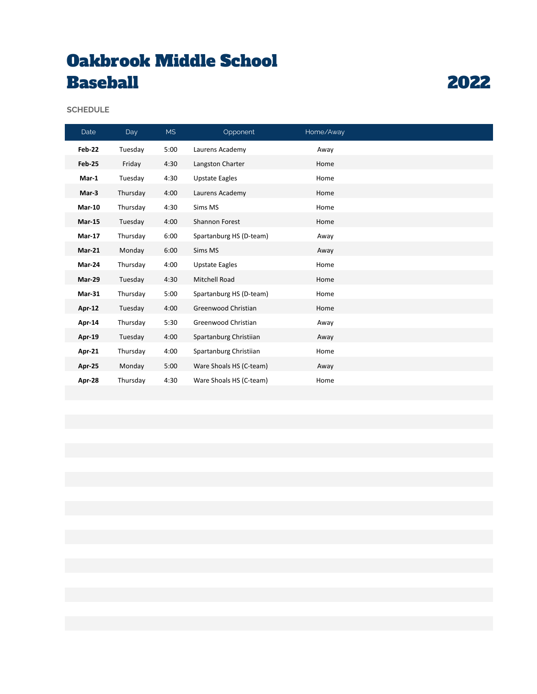# Oakbrook Middle School Baseball 2022



**SCHEDULE**

| Date          | Day      | <b>MS</b> | Opponent                | Home/Away |  |
|---------------|----------|-----------|-------------------------|-----------|--|
| Feb-22        | Tuesday  | 5:00      | Laurens Academy         | Away      |  |
| Feb-25        | Friday   | 4:30      | Langston Charter        | Home      |  |
| Mar-1         | Tuesday  | 4:30      | <b>Upstate Eagles</b>   | Home      |  |
| Mar-3         | Thursday | 4:00      | Laurens Academy         | Home      |  |
| <b>Mar-10</b> | Thursday | 4:30      | Sims MS                 | Home      |  |
| <b>Mar-15</b> | Tuesday  | 4:00      | Shannon Forest          | Home      |  |
| Mar-17        | Thursday | 6:00      | Spartanburg HS (D-team) | Away      |  |
| Mar-21        | Monday   | 6:00      | Sims MS                 | Away      |  |
| Mar-24        | Thursday | 4:00      | <b>Upstate Eagles</b>   | Home      |  |
| Mar-29        | Tuesday  | 4:30      | Mitchell Road           | Home      |  |
| <b>Mar-31</b> | Thursday | 5:00      | Spartanburg HS (D-team) | Home      |  |
| Apr-12        | Tuesday  | 4:00      | Greenwood Christian     | Home      |  |
| Apr-14        | Thursday | 5:30      | Greenwood Christian     | Away      |  |
| Apr-19        | Tuesday  | 4:00      | Spartanburg Christiian  | Away      |  |
| Apr-21        | Thursday | 4:00      | Spartanburg Christiian  | Home      |  |
| Apr-25        | Monday   | 5:00      | Ware Shoals HS (C-team) | Away      |  |
| Apr-28        | Thursday | 4:30      | Ware Shoals HS (C-team) | Home      |  |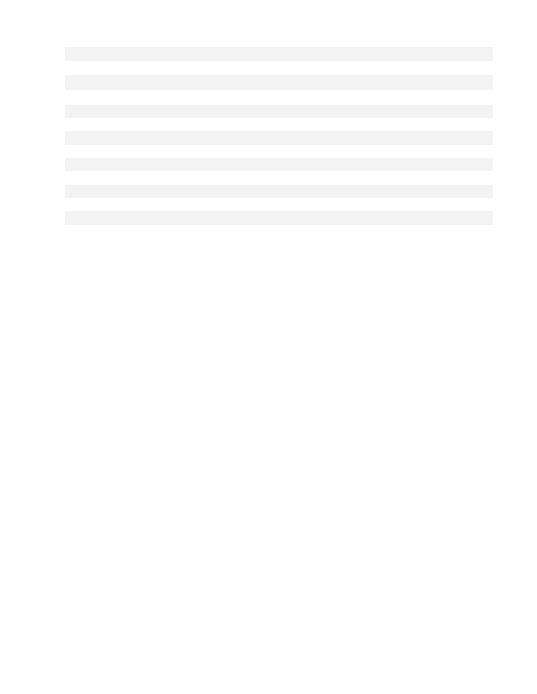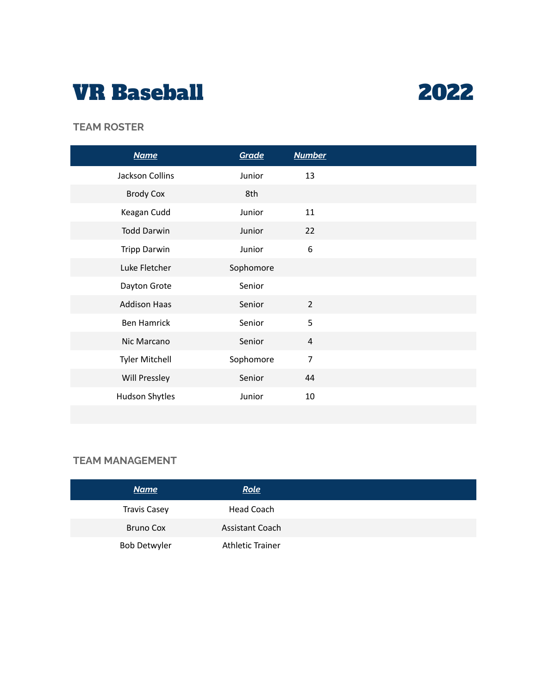



#### **TEAM ROSTER**

| <b>Name</b>           | Grade     | <b>Number</b>  |  |
|-----------------------|-----------|----------------|--|
| Jackson Collins       | Junior    | 13             |  |
| <b>Brody Cox</b>      | 8th       |                |  |
| Keagan Cudd           | Junior    | 11             |  |
| <b>Todd Darwin</b>    | Junior    | 22             |  |
| <b>Tripp Darwin</b>   | Junior    | $\sqrt{6}$     |  |
| Luke Fletcher         | Sophomore |                |  |
| Dayton Grote          | Senior    |                |  |
| <b>Addison Haas</b>   | Senior    | $\overline{2}$ |  |
| <b>Ben Hamrick</b>    | Senior    | 5              |  |
| Nic Marcano           | Senior    | $\overline{4}$ |  |
| <b>Tyler Mitchell</b> | Sophomore | $\overline{7}$ |  |
| Will Pressley         | Senior    | 44             |  |
| Hudson Shytles        | Junior    | 10             |  |
|                       |           |                |  |

#### **TEAM MANAGEMENT**

| <b>Name</b>         | Role                    |
|---------------------|-------------------------|
| <b>Travis Casey</b> | Head Coach              |
| <b>Bruno Cox</b>    | <b>Assistant Coach</b>  |
| <b>Bob Detwyler</b> | <b>Athletic Trainer</b> |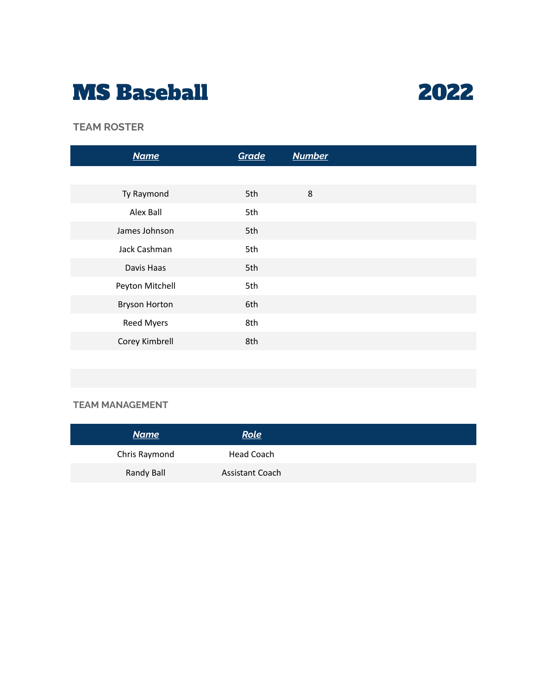



### **TEAM ROSTER**

| <b>Name</b>          | Grade | <b>Number</b> |  |
|----------------------|-------|---------------|--|
|                      |       |               |  |
| Ty Raymond           | 5th   | 8             |  |
| Alex Ball            | 5th   |               |  |
| James Johnson        | 5th   |               |  |
| Jack Cashman         | 5th   |               |  |
| Davis Haas           | 5th   |               |  |
| Peyton Mitchell      | 5th   |               |  |
| <b>Bryson Horton</b> | 6th   |               |  |
| <b>Reed Myers</b>    | 8th   |               |  |
| Corey Kimbrell       | 8th   |               |  |
|                      |       |               |  |

#### **TEAM MANAGEMENT**

| <u>Name</u>   | <u>Role</u>     |
|---------------|-----------------|
| Chris Raymond | Head Coach      |
| Randy Ball    | Assistant Coach |